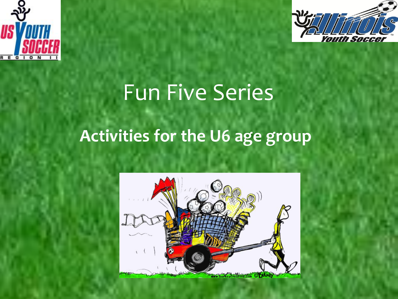



## Fun Five Series

#### **Activities for the U6 age group**

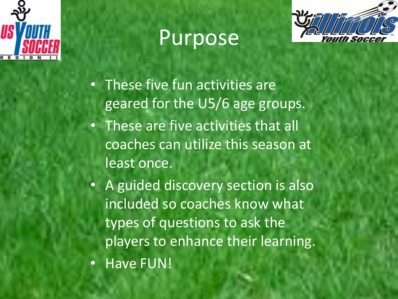

## Purpose



- These five fun activities are geared for the U5/6 age groups.
- These are five activities that all coaches can utilize this season at least once.
- A guided discovery section is also included so coaches know what types of questions to ask the players to enhance their learning.
- Have FUN!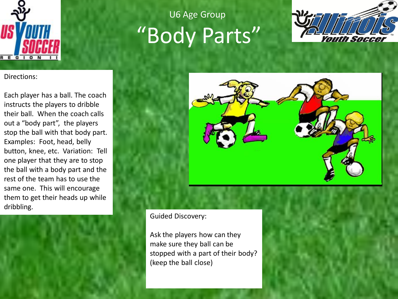

Directions:

Each player has a ball. The coach instructs the players to dribble their ball. When the coach calls out a "body part", the players stop the ball with that body part. Examples: Foot, head, belly button, knee, etc. Variation: Tell one player that they are to stop the ball with a body part and the rest of the team has to use the same one. This will encourage them to get their heads up while dribbling.



### "Body Parts" U6 Age Group





Guided Discovery:

Ask the players how can they make sure they ball can be stopped with a part of their body? (keep the ball close)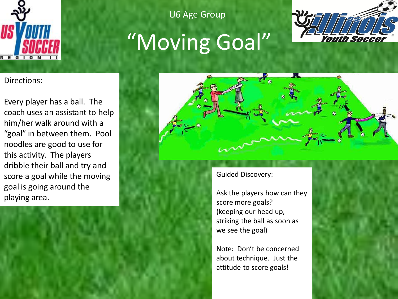

U6 Age Group

# "Moving Goal"



Directions:

Every player has a ball. The coach uses an assistant to help him/her walk around with a "goal" in between them. Pool noodles are good to use for this activity. The players dribble their ball and try and score a goal while the moving goal is going around the playing area.



Guided Discovery:

Ask the players how can they score more goals? (keeping our head up, striking the ball as soon as we see the goal)

Note: Don't be concerned about technique. Just the attitude to score goals!

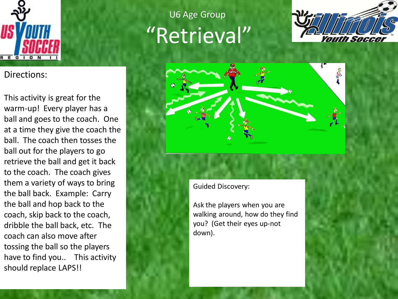

Directions:

This activity is great for the warm-up! Every player has a ball and goes to the coach. One at a time they give the coach the ball. The coach then tosses the ball out for the players to go retrieve the ball and get it back to the coach. The coach gives them a variety of ways to bring the ball back. Example: Carry the ball and hop back to the coach, skip back to the coach, dribble the ball back, etc. The coach can also move after tossing the ball so the players have to find you.. This activity should replace LAPS!!

#### "Retrieval" U6 Age Group





Guided Discovery:

Ask the players when you are walking around, how do they find you? (Get their eyes up-not down).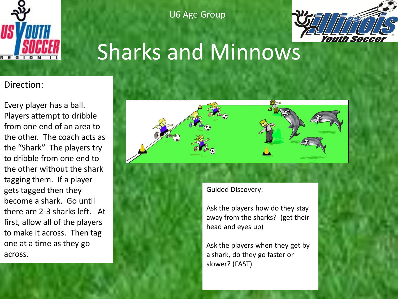

U6 Age Group



## Sharks and Minnows

#### Direction:

Every player has a ball. Players attempt to dribble from one end of an area to the other. The coach acts as the "Shark" The players try to dribble from one end to the other without the shark tagging them. If a player gets tagged then they become a shark. Go until there are 2-3 sharks left. At first, allow all of the players to make it across. Then tag one at a time as they go across.



Guided Discovery:

Ask the players how do they stay away from the sharks? (get their head and eyes up)

Ask the players when they get by a shark, do they go faster or slower? (FAST)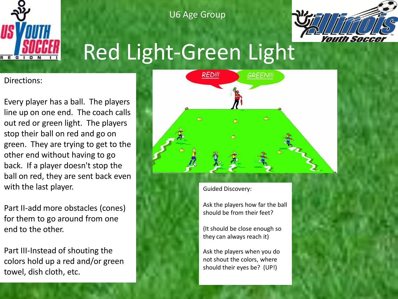

U6 Age Group



## Red Light-Green Light

Directions:

Every player has a ball. The players line up on one end. The coach calls out red or green light. The players stop their ball on red and go on green. They are trying to get to the other end without having to go back. If a player doesn't stop the ball on red, they are sent back even with the last player.

Part II-add more obstacles (cones) for them to go around from one end to the other.

Part III-Instead of shouting the colors hold up a red and/or green towel, dish cloth, etc.



Guided Discovery:

Ask the players how far the ball should be from their feet?

(It should be close enough so they can always reach it)

Ask the players when you do not shout the colors, where should their eyes be? (UP!)